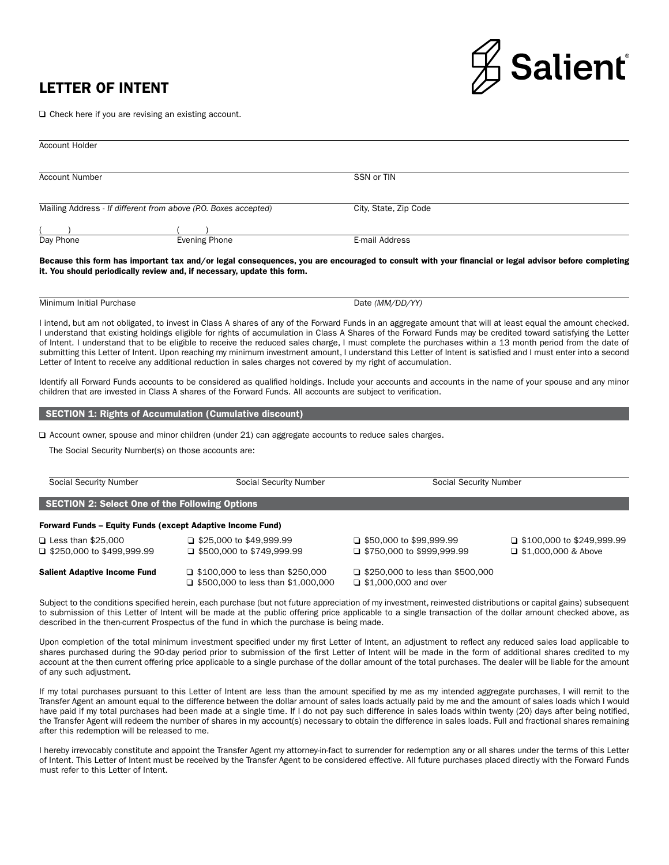## LETTER OF INTENT



□ Check here if you are revising an existing account.

| Account Holder                                                  |                      |                       |  |
|-----------------------------------------------------------------|----------------------|-----------------------|--|
| <b>Account Number</b>                                           |                      | SSN or TIN            |  |
| Mailing Address - If different from above (P.O. Boxes accepted) |                      | City, State, Zip Code |  |
|                                                                 |                      |                       |  |
| Day Phone                                                       | <b>Evening Phone</b> | E-mail Address        |  |

Because this form has important tax and/or legal consequences, you are encouraged to consult with your financial or legal advisor before completing it. You should periodically review and, if necessary, update this form.

Minimum Initial Purchase **Date** *(MM/DD/YY)* 

I intend, but am not obligated, to invest in Class A shares of any of the Forward Funds in an aggregate amount that will at least equal the amount checked. I understand that existing holdings eligible for rights of accumulation in Class A Shares of the Forward Funds may be credited toward satisfying the Letter of Intent. I understand that to be eligible to receive the reduced sales charge, I must complete the purchases within a 13 month period from the date of submitting this Letter of Intent. Upon reaching my minimum investment amount, I understand this Letter of Intent is satisfied and I must enter into a second Letter of Intent to receive any additional reduction in sales charges not covered by my right of accumulation.

Identify all Forward Funds accounts to be considered as qualified holdings. Include your accounts and accounts in the name of your spouse and any minor children that are invested in Class A shares of the Forward Funds. All accounts are subject to verification.

## SECTION 1: Rights of Accumulation (Cumulative discount)

 $\Box$  Account owner, spouse and minor children (under 21) can aggregate accounts to reduce sales charges.

The Social Security Number(s) on those accounts are:

| Social Security Number                                            | <b>Social Security Number</b>                                                        | Social Security Number                                                 |                                                                |
|-------------------------------------------------------------------|--------------------------------------------------------------------------------------|------------------------------------------------------------------------|----------------------------------------------------------------|
| <b>SECTION 2: Select One of the Following Options</b>             |                                                                                      |                                                                        |                                                                |
| <b>Forward Funds - Equity Funds (except Adaptive Income Fund)</b> |                                                                                      |                                                                        |                                                                |
| $\Box$ Less than \$25,000<br>$\Box$ \$250,000 to \$499,999.99     | $\Box$ \$25,000 to \$49,999.99<br>$\Box$ \$500,000 to \$749,999.99                   | $\Box$ \$50,000 to \$99,999.99<br>$\Box$ \$750,000 to \$999,999.99     | $\Box$ \$100,000 to \$249,999.99<br>$\Box$ \$1,000,000 & Above |
| <b>Salient Adaptive Income Fund</b>                               | $\Box$ \$100,000 to less than \$250,000<br>$\Box$ \$500,000 to less than \$1,000,000 | $\Box$ \$250,000 to less than \$500,000<br>$\Box$ \$1,000,000 and over |                                                                |

Subject to the conditions specified herein, each purchase (but not future appreciation of my investment, reinvested distributions or capital gains) subsequent to submission of this Letter of Intent will be made at the public offering price applicable to a single transaction of the dollar amount checked above, as described in the then-current Prospectus of the fund in which the purchase is being made.

Upon completion of the total minimum investment specified under my first Letter of Intent, an adjustment to reflect any reduced sales load applicable to shares purchased during the 90-day period prior to submission of the first Letter of Intent will be made in the form of additional shares credited to my account at the then current offering price applicable to a single purchase of the dollar amount of the total purchases. The dealer will be liable for the amount of any such adjustment.

If my total purchases pursuant to this Letter of Intent are less than the amount specified by me as my intended aggregate purchases, I will remit to the Transfer Agent an amount equal to the difference between the dollar amount of sales loads actually paid by me and the amount of sales loads which I would have paid if my total purchases had been made at a single time. If I do not pay such difference in sales loads within twenty (20) days after being notified, the Transfer Agent will redeem the number of shares in my account(s) necessary to obtain the difference in sales loads. Full and fractional shares remaining after this redemption will be released to me.

I hereby irrevocably constitute and appoint the Transfer Agent my attorney-in-fact to surrender for redemption any or all shares under the terms of this Letter of Intent. This Letter of Intent must be received by the Transfer Agent to be considered effective. All future purchases placed directly with the Forward Funds must refer to this Letter of Intent.